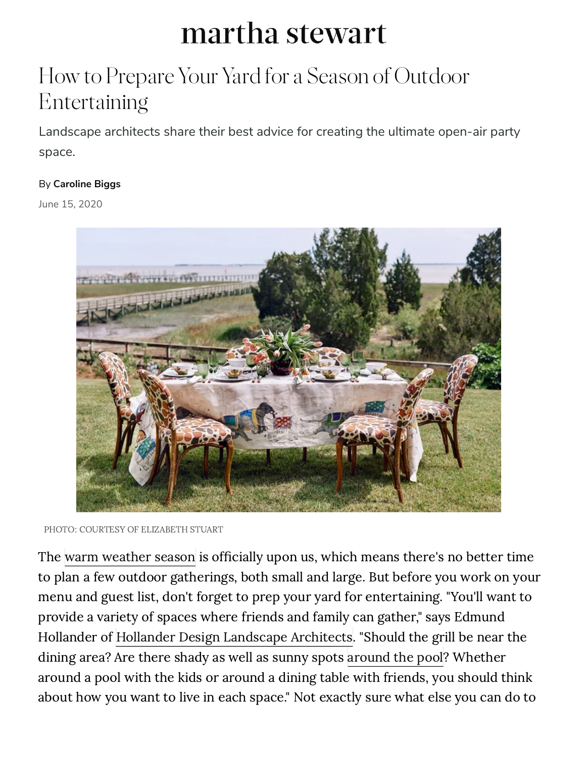# martha stewart

# How to Prepare Your Yard for a Season of Outdoor Entertaining

Landscape architects share their best advice for creating the ultimate open-air party space.

#### By **[Caroline Biggs](https://www.marthastewart.com/contributor/1538150/caroline-biggs)**

June 15, 2020



```
PHOTO: COURTESY OF ELIZABETH STUART
```
The [warm weather season](https://www.marthastewart.com/1541203/summertime-outdoor-entertaining-essentials) is officially upon us, which means there's no better time to plan a few outdoor gatherings, both small and large. But before you work on your menu and guest list, don't forget to prep your yard for entertaining. "You'll want to provide a variety of spaces where friends and family can gather," says Edmund Hollander of [Hollander Design Landscape Architects.](https://hollanderdesign.com/) "Should the grill be near the dining area? Are there shady as well as sunny spots [around the pool](https://www.marthastewart.com/2124200/differences-saltwater-chlorine-pools)? Whether around a pool with the kids or around a dining table with friends, you should think about how you want to live in each space." Not exactly sure what else you can do to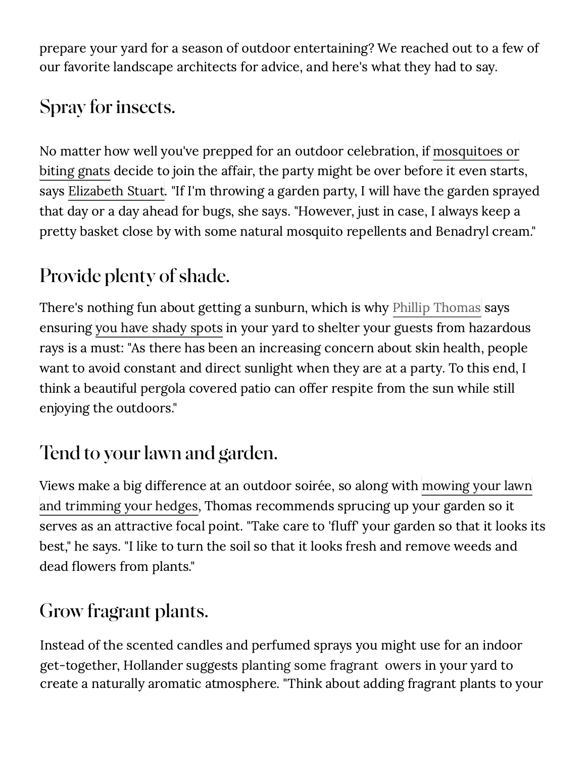prepare your yard for a season of outdoor entertaining? We reached out to a few of our favorite landscape architects for advice, and here's what they had to say.

### **[Spray for insects.](https://www.marthastewart.com/1503093/best-way-set-outdoor-buffet)**

No matter how well you've prepped for an outdoor celebration, if mosquitoes or biting gnats decide to join the affair, the party might be over before it even starts, [says Elizabeth Stuart. "If I'm throwing a garden party, I will have the garden spra](https://www.marthastewart.com/1540271/how-prevent-common-summertime-garden-pests-bugs)yed that day or a day ahead for bugs, she says. "However, just in case, I always keep a pretty basket close by with some natural mosquito repellents and Benadryl cream."

## **Provide plenty of shade.**

There's nothing fun about getting a sunburn, which is why [Phillip Thomas](https://www.phillipthomasinc.com/) says ensuring [you have shady spots](https://www.marthastewart.com/274242/creative-outdoor-spaces) in your yard to shelter your guests from hazardous rays is a must: "As there has been an increasing concern about skin health, people want to avoid constant and direct sunlight when they are at a party. To this end, I think a beautiful pergola covered patio can offer respite from the sun while still enjoying the outdoors."

# **Tend to your lawn and garden.**

Views make a big difference at an outdoor soirée, so along with mowing your lawn and trimming your hedges, Thomas recommends sprucing up your garden so it serves as an attractive focal point. "Take care to 'fluff' your garden so that it looks its [best," he says. "I like to turn the soil so that it looks fresh and remove weeds and](https://www.marthastewart.com/1504574/gardening) dead flowers from plants."

### **Grow fragrant plants.**

Instead of the scented candles and perfumed sprays you might use for an indoor get-together, Hollander suggests planting some fragrant owers in your yard to create a naturally aromatic atmosphere. "Think about adding fragrant plants to your